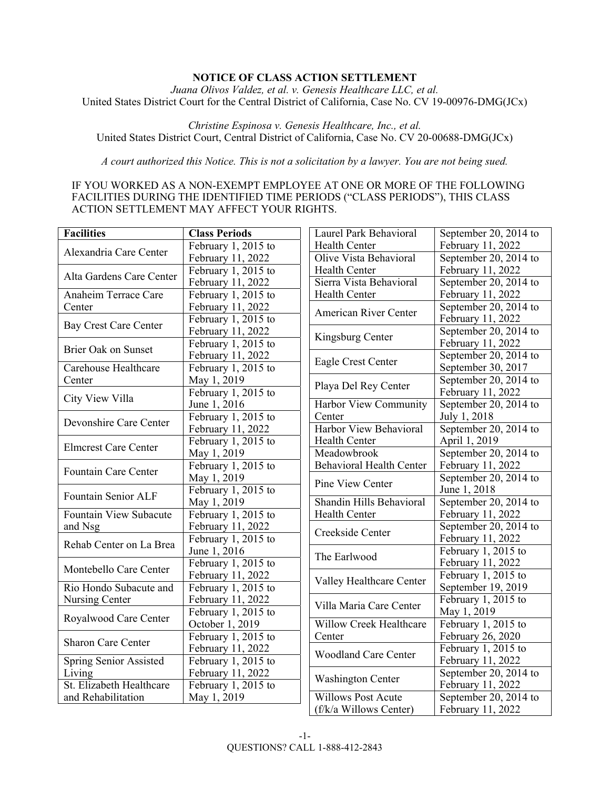# **NOTICE OF CLASS ACTION SETTLEMENT**

*Juana Olivos Valdez, et al. v. Genesis Healthcare LLC, et al.*  United States District Court for the Central District of California, Case No. CV 19-00976-DMG(JCx)

*Christine Espinosa v. Genesis Healthcare, Inc., et al.*  United States District Court, Central District of California, Case No. CV 20-00688-DMG(JCx)

*A court authorized this Notice. This is not a solicitation by a lawyer. You are not being sued.* 

# IF YOU WORKED AS A NON-EXEMPT EMPLOYEE AT ONE OR MORE OF THE FOLLOWING FACILITIES DURING THE IDENTIFIED TIME PERIODS ("CLASS PERIODS"), THIS CLASS ACTION SETTLEMENT MAY AFFECT YOUR RIGHTS.

| <b>Facilities</b>                                            | <b>Class Periods</b>            | Laurel Park Behavioral                     | September 20, 2014 to |
|--------------------------------------------------------------|---------------------------------|--------------------------------------------|-----------------------|
|                                                              | February 1, 2015 to             | Health Center                              | February 11, 2022     |
| Alexandria Care Center                                       | February 11, 2022               | Olive Vista Behavioral                     | September 20, 2014 to |
|                                                              | February 1, 2015 to             | Health Center                              | February 11, 2022     |
| Alta Gardens Care Center                                     | February 11, 2022               | Sierra Vista Behavioral                    | September 20, 2014 to |
| Anaheim Terrace Care                                         | February 1, 2015 to             | Health Center                              | February 11, 2022     |
| Center                                                       | February 11, 2022               |                                            | September 20, 2014 to |
| <b>Bay Crest Care Center</b>                                 | February $1,2015$ to            | <b>American River Center</b>               | February 11, 2022     |
|                                                              | February 11, 2022               | Kingsburg Center                           | September 20, 2014 to |
| <b>Brier Oak on Sunset</b><br>Carehouse Healthcare<br>Center | February 1, 2015 to             |                                            | February 11, 2022     |
|                                                              | February 11, 2022               | Eagle Crest Center<br>Playa Del Rey Center | September 20, 2014 to |
|                                                              | February 1, 2015 to             |                                            | September 30, 2017    |
|                                                              | May 1, 2019                     |                                            | September 20, 2014 to |
| City View Villa                                              | February $\overline{1,2015}$ to |                                            | February 11, 2022     |
|                                                              | June 1, 2016                    | Harbor View Community                      | September 20, 2014 to |
| Devonshire Care Center                                       | February 1, 2015 to             | Center                                     | July 1, 2018          |
|                                                              | February 11, 2022               | Harbor View Behavioral                     | September 20, 2014 to |
| <b>Elmcrest Care Center</b>                                  | February 1, 2015 to             | Health Center                              | April 1, 2019         |
|                                                              | May 1, 2019                     | Meadowbrook                                | September 20, 2014 to |
| Fountain Care Center                                         | February $\overline{1,2015}$ to | <b>Behavioral Health Center</b>            | February 11, 2022     |
|                                                              | May 1, 2019                     | Pine View Center                           | September 20, 2014 to |
| Fountain Senior ALF                                          | February $\overline{1,2015}$ to |                                            | June 1, 2018          |
|                                                              | May 1, 2019                     | Shandin Hills Behavioral                   | September 20, 2014 to |
| Fountain View Subacute                                       | February 1, 2015 to             | Health Center                              | February 11, 2022     |
| and Nsg                                                      | February 11, 2022               | Creekside Center                           | September 20, 2014 to |
| Rehab Center on La Brea                                      | February 1, 2015 to             |                                            | February 11, 2022     |
|                                                              | June 1, 2016                    | The Earlwood                               | February 1, 2015 to   |
| Montebello Care Center                                       | February 1, 2015 to             |                                            | February 11, 2022     |
|                                                              | February 11, 2022               | Valley Healthcare Center                   | February 1, 2015 to   |
| Rio Hondo Subacute and                                       | February 1, 2015 to             |                                            | September 19, 2019    |
| Nursing Center                                               | February 11, 2022               | Villa Maria Care Center                    | February 1, 2015 to   |
| Royalwood Care Center                                        | February 1, 2015 to             |                                            | May 1, 2019           |
|                                                              | October 1, 2019                 | <b>Willow Creek Healthcare</b>             | February $1,2015$ to  |
| Sharon Care Center                                           | February 1, 2015 to             | Center                                     | February 26, 2020     |
|                                                              | February 11, 2022               | <b>Woodland Care Center</b>                | February 1, 2015 to   |
| Spring Senior Assisted                                       | February 1, 2015 to             |                                            | February 11, 2022     |
| Living                                                       | February 11, 2022               | <b>Washington Center</b>                   | September 20, 2014 to |
| St. Elizabeth Healthcare                                     | February 1, 2015 to             |                                            | February 11, 2022     |
| and Rehabilitation                                           | May 1, 2019                     | <b>Willows Post Acute</b>                  | September 20, 2014 to |
|                                                              |                                 | (f/k/a Willows Center)                     | February 11, 2022     |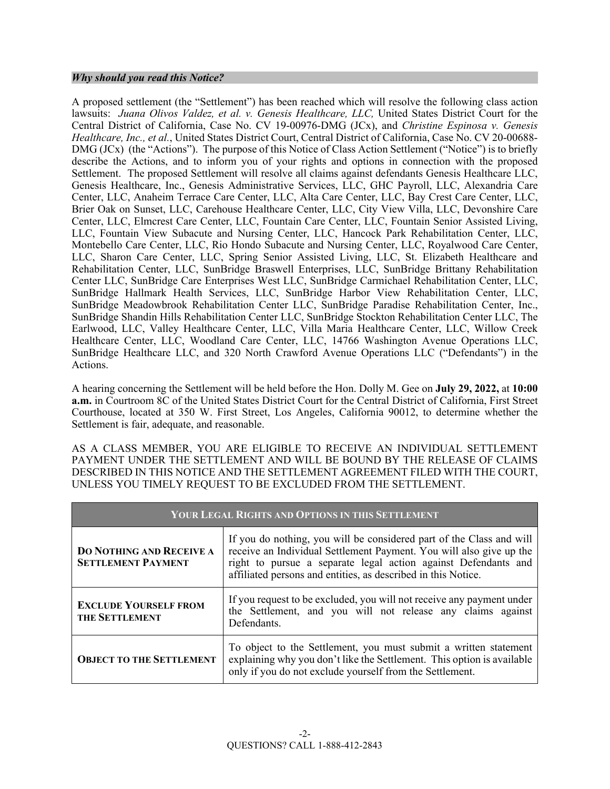## *Why should you read this Notice?*

A proposed settlement (the "Settlement") has been reached which will resolve the following class action lawsuits: *Juana Olivos Valdez, et al. v. Genesis Healthcare, LLC,* United States District Court for the Central District of California, Case No. CV 19-00976-DMG (JCx), and *Christine Espinosa v. Genesis Healthcare, Inc., et al.*, United States District Court, Central District of California, Case No. CV 20-00688- DMG (JCx) (the "Actions"). The purpose of this Notice of Class Action Settlement ("Notice") is to briefly describe the Actions, and to inform you of your rights and options in connection with the proposed Settlement. The proposed Settlement will resolve all claims against defendants Genesis Healthcare LLC, Genesis Healthcare, Inc., Genesis Administrative Services, LLC, GHC Payroll, LLC, Alexandria Care Center, LLC, Anaheim Terrace Care Center, LLC, Alta Care Center, LLC, Bay Crest Care Center, LLC, Brier Oak on Sunset, LLC, Carehouse Healthcare Center, LLC, City View Villa, LLC, Devonshire Care Center, LLC, Elmcrest Care Center, LLC, Fountain Care Center, LLC, Fountain Senior Assisted Living, LLC, Fountain View Subacute and Nursing Center, LLC, Hancock Park Rehabilitation Center, LLC, Montebello Care Center, LLC, Rio Hondo Subacute and Nursing Center, LLC, Royalwood Care Center, LLC, Sharon Care Center, LLC, Spring Senior Assisted Living, LLC, St. Elizabeth Healthcare and Rehabilitation Center, LLC, SunBridge Braswell Enterprises, LLC, SunBridge Brittany Rehabilitation Center LLC, SunBridge Care Enterprises West LLC, SunBridge Carmichael Rehabilitation Center, LLC, SunBridge Hallmark Health Services, LLC, SunBridge Harbor View Rehabilitation Center, LLC, SunBridge Meadowbrook Rehabilitation Center LLC, SunBridge Paradise Rehabilitation Center, Inc., SunBridge Shandin Hills Rehabilitation Center LLC, SunBridge Stockton Rehabilitation Center LLC, The Earlwood, LLC, Valley Healthcare Center, LLC, Villa Maria Healthcare Center, LLC, Willow Creek Healthcare Center, LLC, Woodland Care Center, LLC, 14766 Washington Avenue Operations LLC, SunBridge Healthcare LLC, and 320 North Crawford Avenue Operations LLC ("Defendants") in the Actions.

A hearing concerning the Settlement will be held before the Hon. Dolly M. Gee on **July 29, 2022,** at **10:00 a.m.** in Courtroom 8C of the United States District Court for the Central District of California, First Street Courthouse, located at 350 W. First Street, Los Angeles, California 90012, to determine whether the Settlement is fair, adequate, and reasonable.

AS A CLASS MEMBER, YOU ARE ELIGIBLE TO RECEIVE AN INDIVIDUAL SETTLEMENT PAYMENT UNDER THE SETTLEMENT AND WILL BE BOUND BY THE RELEASE OF CLAIMS DESCRIBED IN THIS NOTICE AND THE SETTLEMENT AGREEMENT FILED WITH THE COURT, UNLESS YOU TIMELY REQUEST TO BE EXCLUDED FROM THE SETTLEMENT.

| YOUR LEGAL RIGHTS AND OPTIONS IN THIS SETTLEMENT                                                                                                                                                             |                                                                                                                                                                                                                                                                                |  |  |
|--------------------------------------------------------------------------------------------------------------------------------------------------------------------------------------------------------------|--------------------------------------------------------------------------------------------------------------------------------------------------------------------------------------------------------------------------------------------------------------------------------|--|--|
| <b>DO NOTHING AND RECEIVE A</b><br><b>SETTLEMENT PAYMENT</b>                                                                                                                                                 | If you do nothing, you will be considered part of the Class and will<br>receive an Individual Settlement Payment. You will also give up the<br>right to pursue a separate legal action against Defendants and<br>affiliated persons and entities, as described in this Notice. |  |  |
| If you request to be excluded, you will not receive any payment under<br><b>EXCLUDE YOURSELF FROM</b><br>the Settlement, and you will not release any claims against<br><b>THE SETTLEMENT</b><br>Defendants. |                                                                                                                                                                                                                                                                                |  |  |
| <b>OBJECT TO THE SETTLEMENT</b>                                                                                                                                                                              | To object to the Settlement, you must submit a written statement<br>explaining why you don't like the Settlement. This option is available<br>only if you do not exclude yourself from the Settlement.                                                                         |  |  |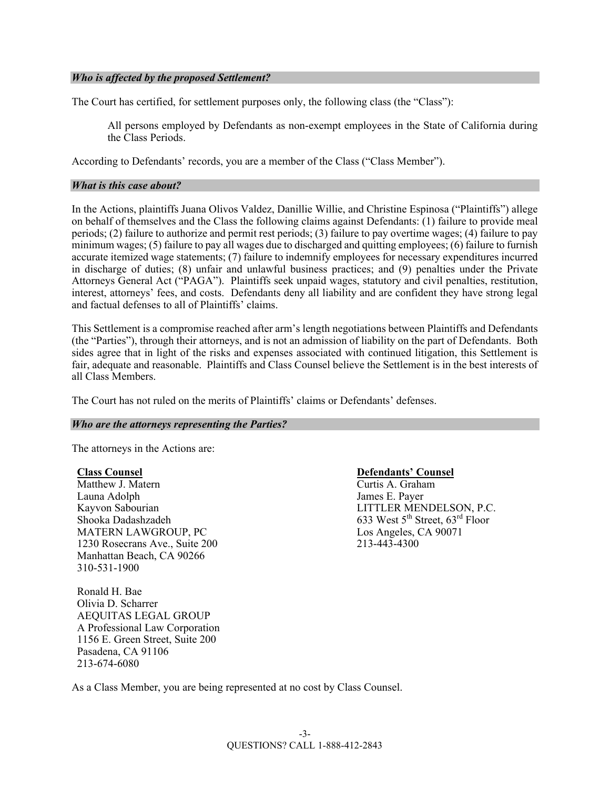## *Who is affected by the proposed Settlement?*

The Court has certified, for settlement purposes only, the following class (the "Class"):

All persons employed by Defendants as non-exempt employees in the State of California during the Class Periods.

According to Defendants' records, you are a member of the Class ("Class Member").

#### *What is this case about?*

In the Actions, plaintiffs Juana Olivos Valdez, Danillie Willie, and Christine Espinosa ("Plaintiffs") allege on behalf of themselves and the Class the following claims against Defendants: (1) failure to provide meal periods; (2) failure to authorize and permit rest periods; (3) failure to pay overtime wages; (4) failure to pay minimum wages; (5) failure to pay all wages due to discharged and quitting employees; (6) failure to furnish accurate itemized wage statements; (7) failure to indemnify employees for necessary expenditures incurred in discharge of duties; (8) unfair and unlawful business practices; and (9) penalties under the Private Attorneys General Act ("PAGA"). Plaintiffs seek unpaid wages, statutory and civil penalties, restitution, interest, attorneys' fees, and costs. Defendants deny all liability and are confident they have strong legal and factual defenses to all of Plaintiffs' claims.

This Settlement is a compromise reached after arm's length negotiations between Plaintiffs and Defendants (the "Parties"), through their attorneys, and is not an admission of liability on the part of Defendants. Both sides agree that in light of the risks and expenses associated with continued litigation, this Settlement is fair, adequate and reasonable. Plaintiffs and Class Counsel believe the Settlement is in the best interests of all Class Members.

The Court has not ruled on the merits of Plaintiffs' claims or Defendants' defenses.

#### *Who are the attorneys representing the Parties?*

The attorneys in the Actions are:

#### **Class Counsel**

Matthew J. Matern Launa Adolph Kayvon Sabourian Shooka Dadashzadeh MATERN LAWGROUP, PC 1230 Rosecrans Ave., Suite 200 Manhattan Beach, CA 90266 310-531-1900

Ronald H. Bae Olivia D. Scharrer AEQUITAS LEGAL GROUP A Professional Law Corporation 1156 E. Green Street, Suite 200 Pasadena, CA 91106 213-674-6080

## **Defendants' Counsel**

Curtis A. Graham James E. Payer LITTLER MENDELSON, P.C. 633 West 5<sup>th</sup> Street, 63<sup>rd</sup> Floor Los Angeles, CA 90071 213-443-4300

As a Class Member, you are being represented at no cost by Class Counsel.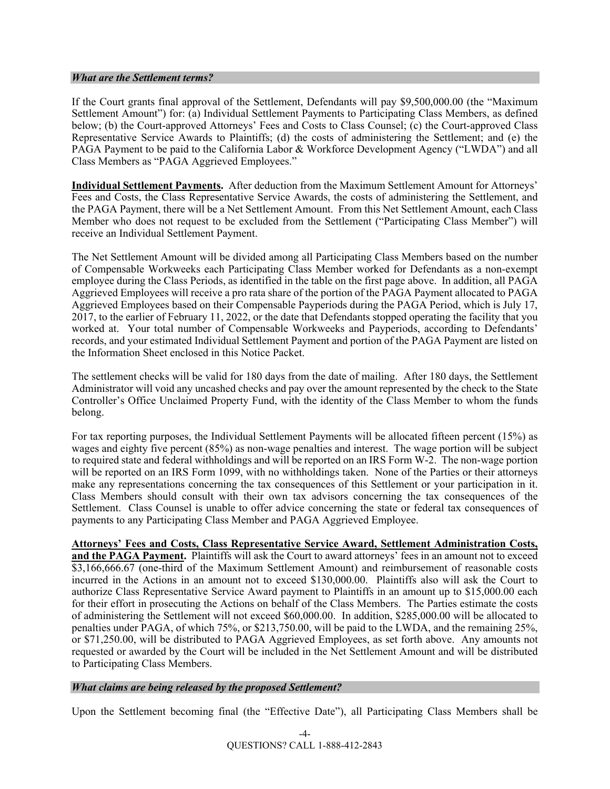#### *What are the Settlement terms?*

If the Court grants final approval of the Settlement, Defendants will pay \$9,500,000.00 (the "Maximum Settlement Amount") for: (a) Individual Settlement Payments to Participating Class Members, as defined below; (b) the Court-approved Attorneys' Fees and Costs to Class Counsel; (c) the Court-approved Class Representative Service Awards to Plaintiffs; (d) the costs of administering the Settlement; and (e) the PAGA Payment to be paid to the California Labor & Workforce Development Agency ("LWDA") and all Class Members as "PAGA Aggrieved Employees."

**Individual Settlement Payments.** After deduction from the Maximum Settlement Amount for Attorneys' Fees and Costs, the Class Representative Service Awards, the costs of administering the Settlement, and the PAGA Payment, there will be a Net Settlement Amount. From this Net Settlement Amount, each Class Member who does not request to be excluded from the Settlement ("Participating Class Member") will receive an Individual Settlement Payment.

The Net Settlement Amount will be divided among all Participating Class Members based on the number of Compensable Workweeks each Participating Class Member worked for Defendants as a non-exempt employee during the Class Periods, as identified in the table on the first page above. In addition, all PAGA Aggrieved Employees will receive a pro rata share of the portion of the PAGA Payment allocated to PAGA Aggrieved Employees based on their Compensable Payperiods during the PAGA Period, which is July 17, 2017, to the earlier of February 11, 2022, or the date that Defendants stopped operating the facility that you worked at. Your total number of Compensable Workweeks and Payperiods, according to Defendants' records, and your estimated Individual Settlement Payment and portion of the PAGA Payment are listed on the Information Sheet enclosed in this Notice Packet.

The settlement checks will be valid for 180 days from the date of mailing. After 180 days, the Settlement Administrator will void any uncashed checks and pay over the amount represented by the check to the State Controller's Office Unclaimed Property Fund, with the identity of the Class Member to whom the funds belong.

For tax reporting purposes, the Individual Settlement Payments will be allocated fifteen percent (15%) as wages and eighty five percent (85%) as non-wage penalties and interest. The wage portion will be subject to required state and federal withholdings and will be reported on an IRS Form W-2. The non-wage portion will be reported on an IRS Form 1099, with no withholdings taken. None of the Parties or their attorneys make any representations concerning the tax consequences of this Settlement or your participation in it. Class Members should consult with their own tax advisors concerning the tax consequences of the Settlement. Class Counsel is unable to offer advice concerning the state or federal tax consequences of payments to any Participating Class Member and PAGA Aggrieved Employee.

## **Attorneys' Fees and Costs, Class Representative Service Award, Settlement Administration Costs,**

**and the PAGA Payment.** Plaintiffs will ask the Court to award attorneys' fees in an amount not to exceed \$3,166,666.67 (one-third of the Maximum Settlement Amount) and reimbursement of reasonable costs incurred in the Actions in an amount not to exceed \$130,000.00. Plaintiffs also will ask the Court to authorize Class Representative Service Award payment to Plaintiffs in an amount up to \$15,000.00 each for their effort in prosecuting the Actions on behalf of the Class Members. The Parties estimate the costs of administering the Settlement will not exceed \$60,000.00. In addition, \$285,000.00 will be allocated to penalties under PAGA, of which 75%, or \$213,750.00, will be paid to the LWDA, and the remaining 25%, or \$71,250.00, will be distributed to PAGA Aggrieved Employees, as set forth above. Any amounts not requested or awarded by the Court will be included in the Net Settlement Amount and will be distributed to Participating Class Members.

## *What claims are being released by the proposed Settlement?*

Upon the Settlement becoming final (the "Effective Date"), all Participating Class Members shall be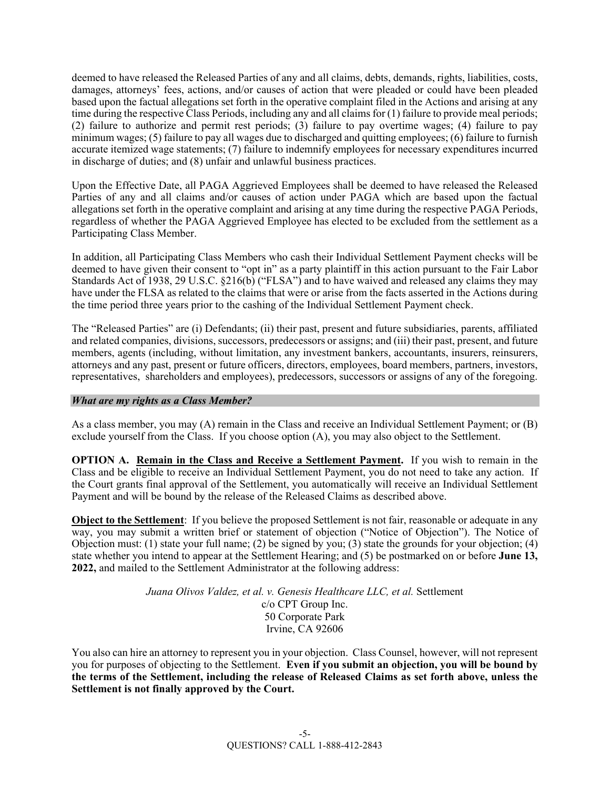deemed to have released the Released Parties of any and all claims, debts, demands, rights, liabilities, costs, damages, attorneys' fees, actions, and/or causes of action that were pleaded or could have been pleaded based upon the factual allegations set forth in the operative complaint filed in the Actions and arising at any time during the respective Class Periods, including any and all claims for (1) failure to provide meal periods; (2) failure to authorize and permit rest periods; (3) failure to pay overtime wages; (4) failure to pay minimum wages; (5) failure to pay all wages due to discharged and quitting employees; (6) failure to furnish accurate itemized wage statements; (7) failure to indemnify employees for necessary expenditures incurred in discharge of duties; and (8) unfair and unlawful business practices.

Upon the Effective Date, all PAGA Aggrieved Employees shall be deemed to have released the Released Parties of any and all claims and/or causes of action under PAGA which are based upon the factual allegations set forth in the operative complaint and arising at any time during the respective PAGA Periods, regardless of whether the PAGA Aggrieved Employee has elected to be excluded from the settlement as a Participating Class Member.

In addition, all Participating Class Members who cash their Individual Settlement Payment checks will be deemed to have given their consent to "opt in" as a party plaintiff in this action pursuant to the Fair Labor Standards Act of 1938, 29 U.S.C. §216(b) ("FLSA") and to have waived and released any claims they may have under the FLSA as related to the claims that were or arise from the facts asserted in the Actions during the time period three years prior to the cashing of the Individual Settlement Payment check.

The "Released Parties" are (i) Defendants; (ii) their past, present and future subsidiaries, parents, affiliated and related companies, divisions, successors, predecessors or assigns; and (iii) their past, present, and future members, agents (including, without limitation, any investment bankers, accountants, insurers, reinsurers, attorneys and any past, present or future officers, directors, employees, board members, partners, investors, representatives, shareholders and employees), predecessors, successors or assigns of any of the foregoing.

# *What are my rights as a Class Member?*

As a class member, you may (A) remain in the Class and receive an Individual Settlement Payment; or (B) exclude yourself from the Class. If you choose option (A), you may also object to the Settlement.

**OPTION A. Remain in the Class and Receive a Settlement Payment.** If you wish to remain in the Class and be eligible to receive an Individual Settlement Payment, you do not need to take any action. If the Court grants final approval of the Settlement, you automatically will receive an Individual Settlement Payment and will be bound by the release of the Released Claims as described above.

**Object to the Settlement**: If you believe the proposed Settlement is not fair, reasonable or adequate in any way, you may submit a written brief or statement of objection ("Notice of Objection"). The Notice of Objection must: (1) state your full name; (2) be signed by you; (3) state the grounds for your objection; (4) state whether you intend to appear at the Settlement Hearing; and (5) be postmarked on or before **June 13, 2022,** and mailed to the Settlement Administrator at the following address:

> Juana Olivos Valdez, et al. v. Genesis Healthcare LLC, et al. Settlement c/o CPT Group Inc. 50 Corporate Park Irvine, CA 92606

You also can hire an attorney to represent you in your objection. Class Counsel, however, will not represent you for purposes of objecting to the Settlement. **Even if you submit an objection, you will be bound by the terms of the Settlement, including the release of Released Claims as set forth above, unless the Settlement is not finally approved by the Court.**